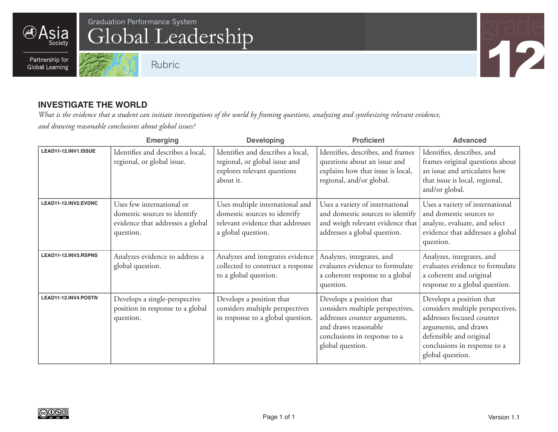**Asia** 

Society

# Global Leadership Graduation Performance System  $G$  and  $G$  and  $G$  and  $G$  and  $G$  and  $G$  and  $G$  and  $G$  and  $G$  and  $G$  and  $G$  and  $G$  and  $G$  and  $G$  and  $G$  and  $G$  and  $G$  and  $G$  and  $G$  and  $G$  and  $G$  and  $G$  and  $G$  and  $G$  and

Partnership for **Global Learning** 





#### **INVESTIGATE THE WORLD**

*What is the evidence that a student can initiate investigations of the world by framing questions, analyzing and synthesizing relevant evidence, and drawing reasonable conclusions about global issues?*

|                      | <b>Emerging</b>                                                                                            | <b>Developing</b>                                                                                                         | <b>Proficient</b>                                                                                                                                                        | <b>Advanced</b>                                                                                                                                                                                  |
|----------------------|------------------------------------------------------------------------------------------------------------|---------------------------------------------------------------------------------------------------------------------------|--------------------------------------------------------------------------------------------------------------------------------------------------------------------------|--------------------------------------------------------------------------------------------------------------------------------------------------------------------------------------------------|
| LEAD11-12.INV1.ISSUE | Identifies and describes a local,<br>regional, or global issue.                                            | Identifies and describes a local,<br>regional, or global issue and<br>explores relevant questions<br>about it.            | Identifies, describes, and frames<br>questions about an issue and<br>explains how that issue is local,<br>regional, and/or global.                                       | Identifies, describes, and<br>frames original questions about<br>an issue and articulates how<br>that issue is local, regional,<br>and/or global.                                                |
| LEAD11-12.INV2.EVDNC | Uses few international or<br>domestic sources to identify<br>evidence that addresses a global<br>question. | Uses multiple international and<br>domestic sources to identify<br>relevant evidence that addresses<br>a global question. | Uses a variety of international<br>and domestic sources to identify<br>and weigh relevant evidence that<br>addresses a global question.                                  | Uses a variety of international<br>and domestic sources to<br>analyze, evaluate, and select<br>evidence that addresses a global<br>question.                                                     |
| LEAD11-12.INV3.RSPNS | Analyzes evidence to address a<br>global question.                                                         | Analyzes and integrates evidence<br>collected to construct a response<br>to a global question.                            | Analyzes, integrates, and<br>evaluates evidence to formulate<br>a coherent response to a global<br>question.                                                             | Analyzes, integrates, and<br>evaluates evidence to formulate<br>a coherent and original<br>response to a global question.                                                                        |
| LEAD11-12.INV4.POSTN | Develops a single-perspective<br>position in response to a global<br>question.                             | Develops a position that<br>considers multiple perspectives<br>in response to a global question.                          | Develops a position that<br>considers multiple perspectives,<br>addresses counter arguments,<br>and draws reasonable<br>conclusions in response to a<br>global question. | Develops a position that<br>considers multiple perspectives,<br>addresses focused counter<br>arguments, and draws<br>defensible and original<br>conclusions in response to a<br>global question. |

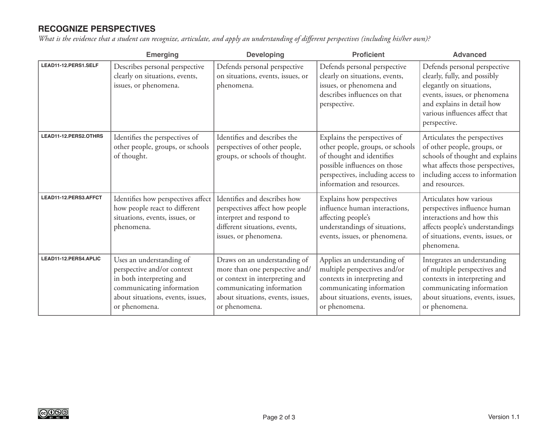### **RECOGNIZE PERSPECTIVES**

*What is the evidence that a student can recognize, articulate, and apply an understanding of different perspectives (including his/her own)?*

|                       | <b>Emerging</b>                                                                                                                                                       | <b>Developing</b>                                                                                                                                                                   | <b>Proficient</b>                                                                                                                                                                                | <b>Advanced</b>                                                                                                                                                                                          |
|-----------------------|-----------------------------------------------------------------------------------------------------------------------------------------------------------------------|-------------------------------------------------------------------------------------------------------------------------------------------------------------------------------------|--------------------------------------------------------------------------------------------------------------------------------------------------------------------------------------------------|----------------------------------------------------------------------------------------------------------------------------------------------------------------------------------------------------------|
| LEAD11-12.PERS1.SELF  | Describes personal perspective<br>clearly on situations, events,<br>issues, or phenomena.                                                                             | Defends personal perspective<br>on situations, events, issues, or<br>phenomena.                                                                                                     | Defends personal perspective<br>clearly on situations, events,<br>issues, or phenomena and<br>describes influences on that<br>perspective.                                                       | Defends personal perspective<br>clearly, fully, and possibly<br>elegantly on situations,<br>events, issues, or phenomena<br>and explains in detail how<br>various influences affect that<br>perspective. |
| LEAD11-12.PERS2.OTHRS | Identifies the perspectives of<br>other people, groups, or schools<br>of thought.                                                                                     | Identifies and describes the<br>perspectives of other people,<br>groups, or schools of thought.                                                                                     | Explains the perspectives of<br>other people, groups, or schools<br>of thought and identifies<br>possible influences on those<br>perspectives, including access to<br>information and resources. | Articulates the perspectives<br>of other people, groups, or<br>schools of thought and explains<br>what affects those perspectives,<br>including access to information<br>and resources.                  |
| LEAD11-12.PERS3.AFFCT | Identifies how perspectives affect<br>how people react to different<br>situations, events, issues, or<br>phenomena.                                                   | Identifies and describes how<br>perspectives affect how people<br>interpret and respond to<br>different situations, events,<br>issues, or phenomena.                                | Explains how perspectives<br>influence human interactions,<br>affecting people's<br>understandings of situations,<br>events, issues, or phenomena.                                               | Articulates how various<br>perspectives influence human<br>interactions and how this<br>affects people's understandings<br>of situations, events, issues, or<br>phenomena.                               |
| LEAD11-12.PERS4.APLIC | Uses an understanding of<br>perspective and/or context<br>in both interpreting and<br>communicating information<br>about situations, events, issues,<br>or phenomena. | Draws on an understanding of<br>more than one perspective and/<br>or context in interpreting and<br>communicating information<br>about situations, events, issues,<br>or phenomena. | Applies an understanding of<br>multiple perspectives and/or<br>contexts in interpreting and<br>communicating information<br>about situations, events, issues,<br>or phenomena.                   | Integrates an understanding<br>of multiple perspectives and<br>contexts in interpreting and<br>communicating information<br>about situations, events, issues,<br>or phenomena.                           |

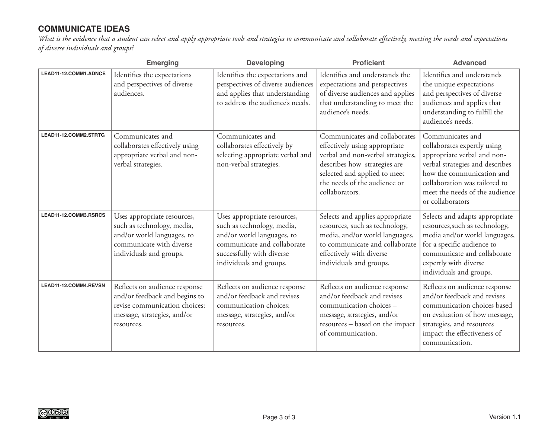#### **COMMUNICATE IDEAS**

*What is the evidence that a student can select and apply appropriate tools and strategies to communicate and collaborate effectively, meeting the needs and expectations of diverse individuals and groups?*

|                       | <b>Emerging</b>                                                                                                                                | <b>Developing</b>                                                                                                                                                              | <b>Proficient</b>                                                                                                                                                                                                     | <b>Advanced</b>                                                                                                                                                                                                                       |
|-----------------------|------------------------------------------------------------------------------------------------------------------------------------------------|--------------------------------------------------------------------------------------------------------------------------------------------------------------------------------|-----------------------------------------------------------------------------------------------------------------------------------------------------------------------------------------------------------------------|---------------------------------------------------------------------------------------------------------------------------------------------------------------------------------------------------------------------------------------|
| LEAD11-12.COMM1.ADNCE | Identifies the expectations<br>and perspectives of diverse<br>audiences.                                                                       | Identifies the expectations and<br>perspectives of diverse audiences<br>and applies that understanding<br>to address the audience's needs.                                     | Identifies and understands the<br>expectations and perspectives<br>of diverse audiences and applies<br>that understanding to meet the<br>audience's needs.                                                            | Identifies and understands<br>the unique expectations<br>and perspectives of diverse<br>audiences and applies that<br>understanding to fulfill the<br>audience's needs.                                                               |
| LEAD11-12.COMM2.STRTG | Communicates and<br>collaborates effectively using<br>appropriate verbal and non-<br>verbal strategies.                                        | Communicates and<br>collaborates effectively by<br>selecting appropriate verbal and<br>non-verbal strategies.                                                                  | Communicates and collaborates<br>effectively using appropriate<br>verbal and non-verbal strategies,<br>describes how strategies are<br>selected and applied to meet<br>the needs of the audience or<br>collaborators. | Communicates and<br>collaborates expertly using<br>appropriate verbal and non-<br>verbal strategies and describes<br>how the communication and<br>collaboration was tailored to<br>meet the needs of the audience<br>or collaborators |
| LEAD11-12.COMM3.RSRCS | Uses appropriate resources,<br>such as technology, media,<br>and/or world languages, to<br>communicate with diverse<br>individuals and groups. | Uses appropriate resources,<br>such as technology, media,<br>and/or world languages, to<br>communicate and collaborate<br>successfully with diverse<br>individuals and groups. | Selects and applies appropriate<br>resources, such as technology,<br>media, and/or world languages,<br>to communicate and collaborate<br>effectively with diverse<br>individuals and groups.                          | Selects and adapts appropriate<br>resources, such as technology,<br>media and/or world languages,<br>for a specific audience to<br>communicate and collaborate<br>expertly with diverse<br>individuals and groups.                    |
| LEAD11-12.COMM4.REVSN | Reflects on audience response<br>and/or feedback and begins to<br>revise communication choices:<br>message, strategies, and/or<br>resources.   | Reflects on audience response<br>and/or feedback and revises<br>communication choices:<br>message, strategies, and/or<br>resources.                                            | Reflects on audience response<br>and/or feedback and revises<br>communication choices -<br>message, strategies, and/or<br>resources - based on the impact<br>of communication.                                        | Reflects on audience response<br>and/or feedback and revises<br>communication choices based<br>on evaluation of how message,<br>strategies, and resources<br>impact the effectiveness of<br>communication.                            |